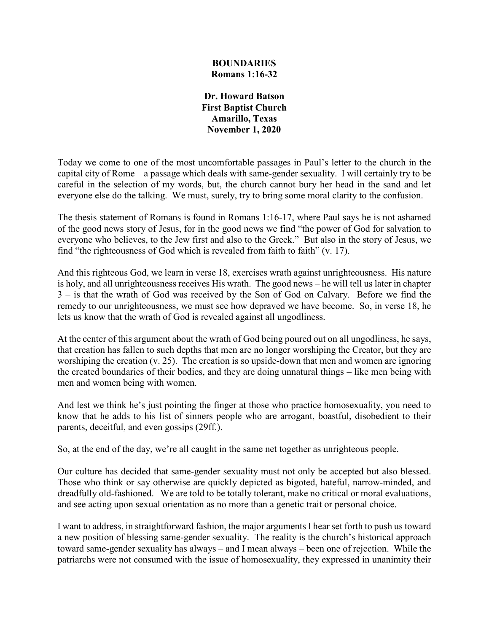## **BOUNDARIES Romans 1:16-32**

**Dr. Howard Batson First Baptist Church Amarillo, Texas November 1, 2020**

Today we come to one of the most uncomfortable passages in Paul's letter to the church in the capital city of Rome – a passage which deals with same-gender sexuality. I will certainly try to be careful in the selection of my words, but, the church cannot bury her head in the sand and let everyone else do the talking. We must, surely, try to bring some moral clarity to the confusion.

The thesis statement of Romans is found in Romans 1:16-17, where Paul says he is not ashamed of the good news story of Jesus, for in the good news we find "the power of God for salvation to everyone who believes, to the Jew first and also to the Greek." But also in the story of Jesus, we find "the righteousness of God which is revealed from faith to faith" (v. 17).

And this righteous God, we learn in verse 18, exercises wrath against unrighteousness. His nature is holy, and all unrighteousness receives His wrath. The good news – he will tell us later in chapter 3 – is that the wrath of God was received by the Son of God on Calvary. Before we find the remedy to our unrighteousness, we must see how depraved we have become. So, in verse 18, he lets us know that the wrath of God is revealed against all ungodliness.

At the center of this argument about the wrath of God being poured out on all ungodliness, he says, that creation has fallen to such depths that men are no longer worshiping the Creator, but they are worshiping the creation (v. 25). The creation is so upside-down that men and women are ignoring the created boundaries of their bodies, and they are doing unnatural things – like men being with men and women being with women.

And lest we think he's just pointing the finger at those who practice homosexuality, you need to know that he adds to his list of sinners people who are arrogant, boastful, disobedient to their parents, deceitful, and even gossips (29ff.).

So, at the end of the day, we're all caught in the same net together as unrighteous people.

Our culture has decided that same-gender sexuality must not only be accepted but also blessed. Those who think or say otherwise are quickly depicted as bigoted, hateful, narrow-minded, and dreadfully old-fashioned. We are told to be totally tolerant, make no critical or moral evaluations, and see acting upon sexual orientation as no more than a genetic trait or personal choice.

I want to address, in straightforward fashion, the major arguments I hear set forth to push us toward a new position of blessing same-gender sexuality. The reality is the church's historical approach toward same-gender sexuality has always – and I mean always – been one of rejection. While the patriarchs were not consumed with the issue of homosexuality, they expressed in unanimity their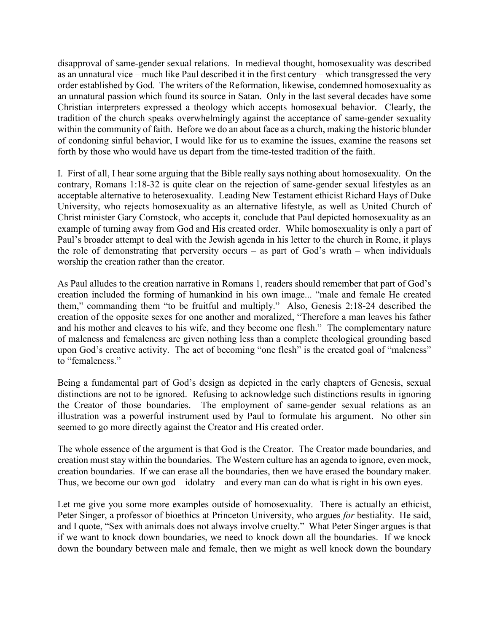disapproval of same-gender sexual relations. In medieval thought, homosexuality was described as an unnatural vice – much like Paul described it in the first century – which transgressed the very order established by God. The writers of the Reformation, likewise, condemned homosexuality as an unnatural passion which found its source in Satan. Only in the last several decades have some Christian interpreters expressed a theology which accepts homosexual behavior. Clearly, the tradition of the church speaks overwhelmingly against the acceptance of same-gender sexuality within the community of faith. Before we do an about face as a church, making the historic blunder of condoning sinful behavior, I would like for us to examine the issues, examine the reasons set forth by those who would have us depart from the time-tested tradition of the faith.

I. First of all, I hear some arguing that the Bible really says nothing about homosexuality. On the contrary, Romans 1:18-32 is quite clear on the rejection of same-gender sexual lifestyles as an acceptable alternative to heterosexuality. Leading New Testament ethicist Richard Hays of Duke University, who rejects homosexuality as an alternative lifestyle, as well as United Church of Christ minister Gary Comstock, who accepts it, conclude that Paul depicted homosexuality as an example of turning away from God and His created order. While homosexuality is only a part of Paul's broader attempt to deal with the Jewish agenda in his letter to the church in Rome, it plays the role of demonstrating that perversity occurs – as part of God's wrath – when individuals worship the creation rather than the creator.

As Paul alludes to the creation narrative in Romans 1, readers should remember that part of God's creation included the forming of humankind in his own image... "male and female He created them," commanding them "to be fruitful and multiply." Also, Genesis 2:18-24 described the creation of the opposite sexes for one another and moralized, "Therefore a man leaves his father and his mother and cleaves to his wife, and they become one flesh." The complementary nature of maleness and femaleness are given nothing less than a complete theological grounding based upon God's creative activity. The act of becoming "one flesh" is the created goal of "maleness" to "femaleness."

Being a fundamental part of God's design as depicted in the early chapters of Genesis, sexual distinctions are not to be ignored. Refusing to acknowledge such distinctions results in ignoring the Creator of those boundaries. The employment of same-gender sexual relations as an illustration was a powerful instrument used by Paul to formulate his argument. No other sin seemed to go more directly against the Creator and His created order.

The whole essence of the argument is that God is the Creator. The Creator made boundaries, and creation must stay within the boundaries. The Western culture has an agenda to ignore, even mock, creation boundaries. If we can erase all the boundaries, then we have erased the boundary maker. Thus, we become our own god – idolatry – and every man can do what is right in his own eyes.

Let me give you some more examples outside of homosexuality. There is actually an ethicist, Peter Singer, a professor of bioethics at Princeton University, who argues *for* bestiality. He said, and I quote, "Sex with animals does not always involve cruelty." What Peter Singer argues is that if we want to knock down boundaries, we need to knock down all the boundaries. If we knock down the boundary between male and female, then we might as well knock down the boundary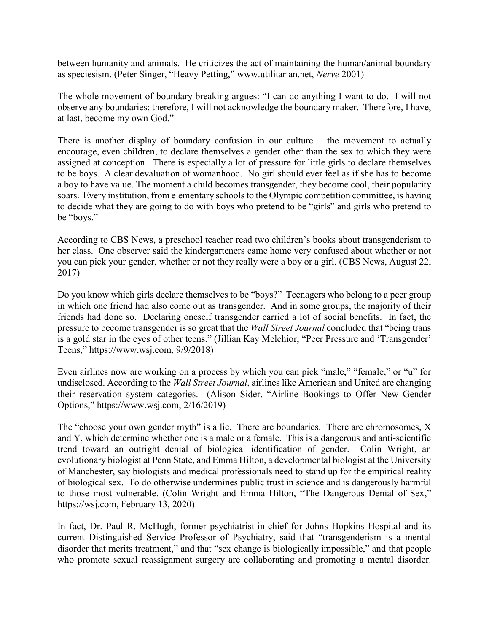between humanity and animals. He criticizes the act of maintaining the human/animal boundary as speciesism. (Peter Singer, "Heavy Petting," www.utilitarian.net, *Nerve* 2001)

The whole movement of boundary breaking argues: "I can do anything I want to do. I will not observe any boundaries; therefore, I will not acknowledge the boundary maker. Therefore, I have, at last, become my own God."

There is another display of boundary confusion in our culture – the movement to actually encourage, even children, to declare themselves a gender other than the sex to which they were assigned at conception. There is especially a lot of pressure for little girls to declare themselves to be boys. A clear devaluation of womanhood. No girl should ever feel as if she has to become a boy to have value. The moment a child becomes transgender, they become cool, their popularity soars. Every institution, from elementary schools to the Olympic competition committee, is having to decide what they are going to do with boys who pretend to be "girls" and girls who pretend to be "boys."

According to CBS News, a preschool teacher read two children's books about transgenderism to her class. One observer said the kindergarteners came home very confused about whether or not you can pick your gender, whether or not they really were a boy or a girl. (CBS News, August 22, 2017)

Do you know which girls declare themselves to be "boys?" Teenagers who belong to a peer group in which one friend had also come out as transgender. And in some groups, the majority of their friends had done so. Declaring oneself transgender carried a lot of social benefits. In fact, the pressure to become transgender is so great that the *Wall Street Journal* concluded that "being trans is a gold star in the eyes of other teens." (Jillian Kay Melchior, "Peer Pressure and 'Transgender' Teens," https://www.wsj.com, 9/9/2018)

Even airlines now are working on a process by which you can pick "male," "female," or "u" for undisclosed. According to the *Wall Street Journal*, airlines like American and United are changing their reservation system categories. (Alison Sider, "Airline Bookings to Offer New Gender Options," https://www.wsj.com, 2/16/2019)

The "choose your own gender myth" is a lie. There are boundaries. There are chromosomes, X and Y, which determine whether one is a male or a female. This is a dangerous and anti-scientific trend toward an outright denial of biological identification of gender. Colin Wright, an evolutionary biologist at Penn State, and Emma Hilton, a developmental biologist at the University of Manchester, say biologists and medical professionals need to stand up for the empirical reality of biological sex. To do otherwise undermines public trust in science and is dangerously harmful to those most vulnerable. (Colin Wright and Emma Hilton, "The Dangerous Denial of Sex," https://wsj.com, February 13, 2020)

In fact, Dr. Paul R. McHugh, former psychiatrist-in-chief for Johns Hopkins Hospital and its current Distinguished Service Professor of Psychiatry, said that "transgenderism is a mental disorder that merits treatment," and that "sex change is biologically impossible," and that people who promote sexual reassignment surgery are collaborating and promoting a mental disorder.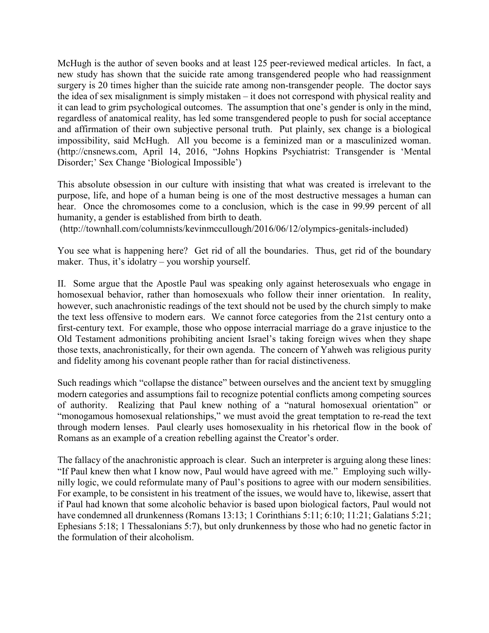McHugh is the author of seven books and at least 125 peer-reviewed medical articles. In fact, a new study has shown that the suicide rate among transgendered people who had reassignment surgery is 20 times higher than the suicide rate among non-transgender people. The doctor says the idea of sex misalignment is simply mistaken – it does not correspond with physical reality and it can lead to grim psychological outcomes. The assumption that one's gender is only in the mind, regardless of anatomical reality, has led some transgendered people to push for social acceptance and affirmation of their own subjective personal truth. Put plainly, sex change is a biological impossibility, said McHugh. All you become is a feminized man or a masculinized woman. (http://cnsnews.com, April 14, 2016, "Johns Hopkins Psychiatrist: Transgender is 'Mental Disorder;' Sex Change 'Biological Impossible')

This absolute obsession in our culture with insisting that what was created is irrelevant to the purpose, life, and hope of a human being is one of the most destructive messages a human can hear. Once the chromosomes come to a conclusion, which is the case in 99.99 percent of all humanity, a gender is established from birth to death.

(http://townhall.com/columnists/kevinmccullough/2016/06/12/olympics-genitals-included)

You see what is happening here? Get rid of all the boundaries. Thus, get rid of the boundary maker. Thus, it's idolatry – you worship yourself.

II. Some argue that the Apostle Paul was speaking only against heterosexuals who engage in homosexual behavior, rather than homosexuals who follow their inner orientation. In reality, however, such anachronistic readings of the text should not be used by the church simply to make the text less offensive to modern ears. We cannot force categories from the 21st century onto a first-century text. For example, those who oppose interracial marriage do a grave injustice to the Old Testament admonitions prohibiting ancient Israel's taking foreign wives when they shape those texts, anachronistically, for their own agenda. The concern of Yahweh was religious purity and fidelity among his covenant people rather than for racial distinctiveness.

Such readings which "collapse the distance" between ourselves and the ancient text by smuggling modern categories and assumptions fail to recognize potential conflicts among competing sources of authority. Realizing that Paul knew nothing of a "natural homosexual orientation" or "monogamous homosexual relationships," we must avoid the great temptation to re-read the text through modern lenses. Paul clearly uses homosexuality in his rhetorical flow in the book of Romans as an example of a creation rebelling against the Creator's order.

The fallacy of the anachronistic approach is clear. Such an interpreter is arguing along these lines: "If Paul knew then what I know now, Paul would have agreed with me." Employing such willynilly logic, we could reformulate many of Paul's positions to agree with our modern sensibilities. For example, to be consistent in his treatment of the issues, we would have to, likewise, assert that if Paul had known that some alcoholic behavior is based upon biological factors, Paul would not have condemned all drunkenness (Romans 13:13; 1 Corinthians 5:11; 6:10; 11:21; Galatians 5:21; Ephesians 5:18; 1 Thessalonians 5:7), but only drunkenness by those who had no genetic factor in the formulation of their alcoholism.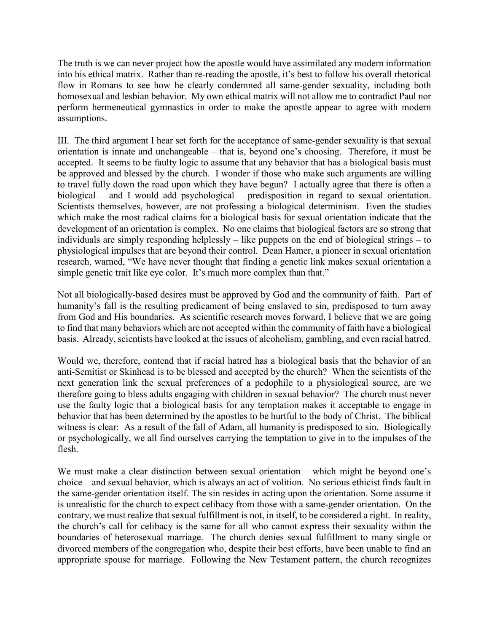The truth is we can never project how the apostle would have assimilated any modern information into his ethical matrix. Rather than re-reading the apostle, it's best to follow his overall rhetorical flow in Romans to see how he clearly condemned all same-gender sexuality, including both homosexual and lesbian behavior. My own ethical matrix will not allow me to contradict Paul nor perform hermeneutical gymnastics in order to make the apostle appear to agree with modern assumptions.

III. The third argument I hear set forth for the acceptance of same-gender sexuality is that sexual orientation is innate and unchangeable – that is, beyond one's choosing. Therefore, it must be accepted. It seems to be faulty logic to assume that any behavior that has a biological basis must be approved and blessed by the church. I wonder if those who make such arguments are willing to travel fully down the road upon which they have begun? I actually agree that there is often a biological – and I would add psychological – predisposition in regard to sexual orientation. Scientists themselves, however, are not professing a biological determinism. Even the studies which make the most radical claims for a biological basis for sexual orientation indicate that the development of an orientation is complex. No one claims that biological factors are so strong that individuals are simply responding helplessly – like puppets on the end of biological strings – to physiological impulses that are beyond their control. Dean Hamer, a pioneer in sexual orientation research, warned, "We have never thought that finding a genetic link makes sexual orientation a simple genetic trait like eye color. It's much more complex than that."

Not all biologically-based desires must be approved by God and the community of faith. Part of humanity's fall is the resulting predicament of being enslaved to sin, predisposed to turn away from God and His boundaries. As scientific research moves forward, I believe that we are going to find that many behaviors which are not accepted within the community of faith have a biological basis. Already, scientists have looked at the issues of alcoholism, gambling, and even racial hatred.

Would we, therefore, contend that if racial hatred has a biological basis that the behavior of an anti-Semitist or Skinhead is to be blessed and accepted by the church? When the scientists of the next generation link the sexual preferences of a pedophile to a physiological source, are we therefore going to bless adults engaging with children in sexual behavior? The church must never use the faulty logic that a biological basis for any temptation makes it acceptable to engage in behavior that has been determined by the apostles to be hurtful to the body of Christ. The biblical witness is clear: As a result of the fall of Adam, all humanity is predisposed to sin. Biologically or psychologically, we all find ourselves carrying the temptation to give in to the impulses of the flesh.

We must make a clear distinction between sexual orientation – which might be beyond one's choice – and sexual behavior, which is always an act of volition. No serious ethicist finds fault in the same-gender orientation itself. The sin resides in acting upon the orientation. Some assume it is unrealistic for the church to expect celibacy from those with a same-gender orientation. On the contrary, we must realize that sexual fulfillment is not, in itself, to be considered a right. In reality, the church's call for celibacy is the same for all who cannot express their sexuality within the boundaries of heterosexual marriage. The church denies sexual fulfillment to many single or divorced members of the congregation who, despite their best efforts, have been unable to find an appropriate spouse for marriage. Following the New Testament pattern, the church recognizes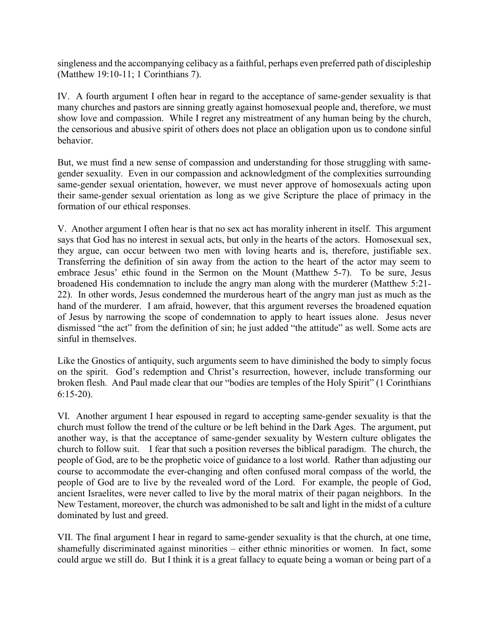singleness and the accompanying celibacy as a faithful, perhaps even preferred path of discipleship (Matthew 19:10-11; 1 Corinthians 7).

IV. A fourth argument I often hear in regard to the acceptance of same-gender sexuality is that many churches and pastors are sinning greatly against homosexual people and, therefore, we must show love and compassion. While I regret any mistreatment of any human being by the church, the censorious and abusive spirit of others does not place an obligation upon us to condone sinful behavior.

But, we must find a new sense of compassion and understanding for those struggling with samegender sexuality. Even in our compassion and acknowledgment of the complexities surrounding same-gender sexual orientation, however, we must never approve of homosexuals acting upon their same-gender sexual orientation as long as we give Scripture the place of primacy in the formation of our ethical responses.

V. Another argument I often hear is that no sex act has morality inherent in itself. This argument says that God has no interest in sexual acts, but only in the hearts of the actors. Homosexual sex, they argue, can occur between two men with loving hearts and is, therefore, justifiable sex. Transferring the definition of sin away from the action to the heart of the actor may seem to embrace Jesus' ethic found in the Sermon on the Mount (Matthew 5-7). To be sure, Jesus broadened His condemnation to include the angry man along with the murderer (Matthew 5:21- 22). In other words, Jesus condemned the murderous heart of the angry man just as much as the hand of the murderer. I am afraid, however, that this argument reverses the broadened equation of Jesus by narrowing the scope of condemnation to apply to heart issues alone. Jesus never dismissed "the act" from the definition of sin; he just added "the attitude" as well. Some acts are sinful in themselves.

Like the Gnostics of antiquity, such arguments seem to have diminished the body to simply focus on the spirit. God's redemption and Christ's resurrection, however, include transforming our broken flesh. And Paul made clear that our "bodies are temples of the Holy Spirit" (1 Corinthians 6:15-20).

VI. Another argument I hear espoused in regard to accepting same-gender sexuality is that the church must follow the trend of the culture or be left behind in the Dark Ages. The argument, put another way, is that the acceptance of same-gender sexuality by Western culture obligates the church to follow suit. I fear that such a position reverses the biblical paradigm. The church, the people of God, are to be the prophetic voice of guidance to a lost world. Rather than adjusting our course to accommodate the ever-changing and often confused moral compass of the world, the people of God are to live by the revealed word of the Lord. For example, the people of God, ancient Israelites, were never called to live by the moral matrix of their pagan neighbors. In the New Testament, moreover, the church was admonished to be salt and light in the midst of a culture dominated by lust and greed.

VII. The final argument I hear in regard to same-gender sexuality is that the church, at one time, shamefully discriminated against minorities – either ethnic minorities or women. In fact, some could argue we still do. But I think it is a great fallacy to equate being a woman or being part of a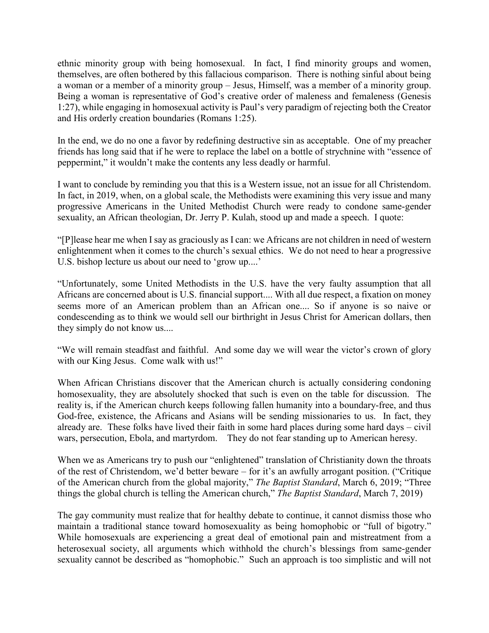ethnic minority group with being homosexual. In fact, I find minority groups and women, themselves, are often bothered by this fallacious comparison. There is nothing sinful about being a woman or a member of a minority group – Jesus, Himself, was a member of a minority group. Being a woman is representative of God's creative order of maleness and femaleness (Genesis 1:27), while engaging in homosexual activity is Paul's very paradigm of rejecting both the Creator and His orderly creation boundaries (Romans 1:25).

In the end, we do no one a favor by redefining destructive sin as acceptable. One of my preacher friends has long said that if he were to replace the label on a bottle of strychnine with "essence of peppermint," it wouldn't make the contents any less deadly or harmful.

I want to conclude by reminding you that this is a Western issue, not an issue for all Christendom. In fact, in 2019, when, on a global scale, the Methodists were examining this very issue and many progressive Americans in the United Methodist Church were ready to condone same-gender sexuality, an African theologian, Dr. Jerry P. Kulah, stood up and made a speech. I quote:

"[P]lease hear me when I say as graciously as I can: we Africans are not children in need of western enlightenment when it comes to the church's sexual ethics. We do not need to hear a progressive U.S. bishop lecture us about our need to 'grow up....'

"Unfortunately, some United Methodists in the U.S. have the very faulty assumption that all Africans are concerned about is U.S. financial support.... With all due respect, a fixation on money seems more of an American problem than an African one.... So if anyone is so naive or condescending as to think we would sell our birthright in Jesus Christ for American dollars, then they simply do not know us....

"We will remain steadfast and faithful. And some day we will wear the victor's crown of glory with our King Jesus. Come walk with us!"

When African Christians discover that the American church is actually considering condoning homosexuality, they are absolutely shocked that such is even on the table for discussion. The reality is, if the American church keeps following fallen humanity into a boundary-free, and thus God-free, existence, the Africans and Asians will be sending missionaries to us. In fact, they already are. These folks have lived their faith in some hard places during some hard days – civil wars, persecution, Ebola, and martyrdom. They do not fear standing up to American heresy.

When we as Americans try to push our "enlightened" translation of Christianity down the throats of the rest of Christendom, we'd better beware – for it's an awfully arrogant position. ("Critique of the American church from the global majority," *The Baptist Standard*, March 6, 2019; "Three things the global church is telling the American church," *The Baptist Standard*, March 7, 2019)

The gay community must realize that for healthy debate to continue, it cannot dismiss those who maintain a traditional stance toward homosexuality as being homophobic or "full of bigotry." While homosexuals are experiencing a great deal of emotional pain and mistreatment from a heterosexual society, all arguments which withhold the church's blessings from same-gender sexuality cannot be described as "homophobic." Such an approach is too simplistic and will not